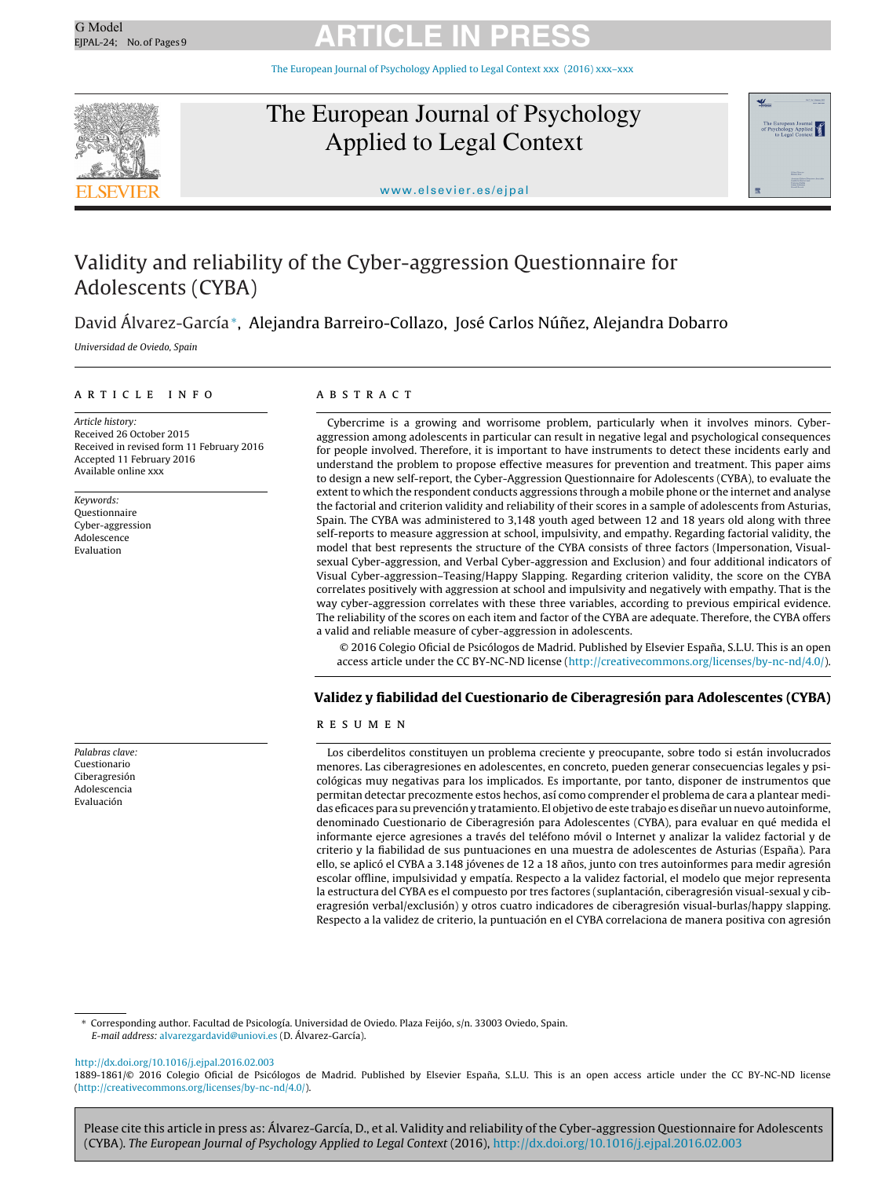The European Journal of [Psychology](dx.doi.org/10.1016/j.ejpal.2016.02.003) Applied to Legal Context xxx (2016) xxx–xxx



### The European Journal of Psychology Applied to Legal Context



<www.elsevier.es/ejpal>

### Validity and reliability of the Cyber-aggression Questionnaire for Adolescents (CYBA)

David Álvarez-García<sup>∗</sup>, Alejandra Barreiro-Collazo, José Carlos Núñez, Alejandra Dobarro

Universidad de Oviedo, Spain

a r t i c l e i n f o

Article history: Received 26 October 2015 Received in revised form 11 February 2016 Accepted 11 February 2016 Available online xxx

Keywords: Questionnaire Cyber-aggression Adolescence Evaluation

Palabras clave: Cuestionario Ciberagresión Adolescencia Evaluación

#### A B S T R A C T

Cybercrime is a growing and worrisome problem, particularly when it involves minors. Cyberaggression among adolescents in particular can result in negative legal and psychological consequences for people involved. Therefore, it is important to have instruments to detect these incidents early and understand the problem to propose effective measures for prevention and treatment. This paper aims to design a new self-report, the Cyber-Aggression Questionnaire for Adolescents (CYBA), to evaluate the extent to which the respondent conducts aggressions through a mobile phone or the internet and analyse the factorial and criterion validity and reliability of their scores in a sample of adolescents from Asturias, Spain. The CYBA was administered to 3,148 youth aged between 12 and 18 years old along with three self-reports to measure aggression at school, impulsivity, and empathy. Regarding factorial validity, the model that best represents the structure of the CYBA consists of three factors (Impersonation, Visualsexual Cyber-aggression, and Verbal Cyber-aggression and Exclusion) and four additional indicators of Visual Cyber-aggression–Teasing/Happy Slapping. Regarding criterion validity, the score on the CYBA correlates positively with aggression at school and impulsivity and negatively with empathy. That is the way cyber-aggression correlates with these three variables, according to previous empirical evidence. The reliability of the scores on each item and factor of the CYBA are adequate. Therefore, the CYBA offers a valid and reliable measure of cyber-aggression in adolescents.

© 2016 Colegio Oficial de Psicólogos de Madrid. Published by Elsevier España, S.L.U. This is an open access article under the CC BY-NC-ND license [\(http://creativecommons.org/licenses/by-nc-nd/4.0/](http://creativecommons.org/licenses/by-nc-nd/4.0/)).

### **Validez y fiabilidad del Cuestionario de Ciberagresión para Adolescentes (CYBA)**

#### r e s u m e n

Los ciberdelitos constituyen un problema creciente y preocupante, sobre todo si están involucrados menores. Las ciberagresiones en adolescentes, en concreto, pueden generar consecuencias legales y psicológicas muy negativas para los implicados. Es importante, por tanto, disponer de instrumentos que permitan detectar precozmente estos hechos, así como comprender el problema de cara a plantear medidas eficaces para su prevención y tratamiento. El objetivo de este trabajo es diseñar un nuevo autoinforme, denominado Cuestionario de Ciberagresión para Adolescentes (CYBA), para evaluar en qué medida el informante ejerce agresiones a través del teléfono móvil o Internet y analizar la validez factorial y de criterio y la fiabilidad de sus puntuaciones en una muestra de adolescentes de Asturias (España). Para ello, se aplicó el CYBA a 3.148 jóvenes de 12 a 18 años, junto con tres autoinformes para medir agresión escolar offline, impulsividad y empatía. Respecto a la validez factorial, el modelo que mejor representa la estructura del CYBA es el compuesto por tres factores (suplantación, ciberagresión visual-sexual y ciberagresión verbal/exclusión) y otros cuatro indicadores de ciberagresión visual-burlas/happy slapping. Respecto a la validez de criterio, la puntuación en el CYBA correlaciona de manera positiva con agresión

∗ Corresponding author. Facultad de Psicología. Universidad de Oviedo. Plaza Feijóo, s/n. 33003 Oviedo, Spain. E-mail address: [alvarezgardavid@uniovi.es](mailto:alvarezgardavid@uniovi.es) (D. Álvarez-García).

[http://dx.doi.org/10.1016/j.ejpal.2016.02.003](dx.doi.org/10.1016/j.ejpal.2016.02.003)

1889-1861/© 2016 Colegio Oficial de Psicólogos de Madrid. Published by Elsevier España, S.L.U. This is an open access article under the CC BY-NC-ND license [\(http://creativecommons.org/licenses/by-nc-nd/4.0/\)](http://creativecommons.org/licenses/by-nc-nd/4.0/).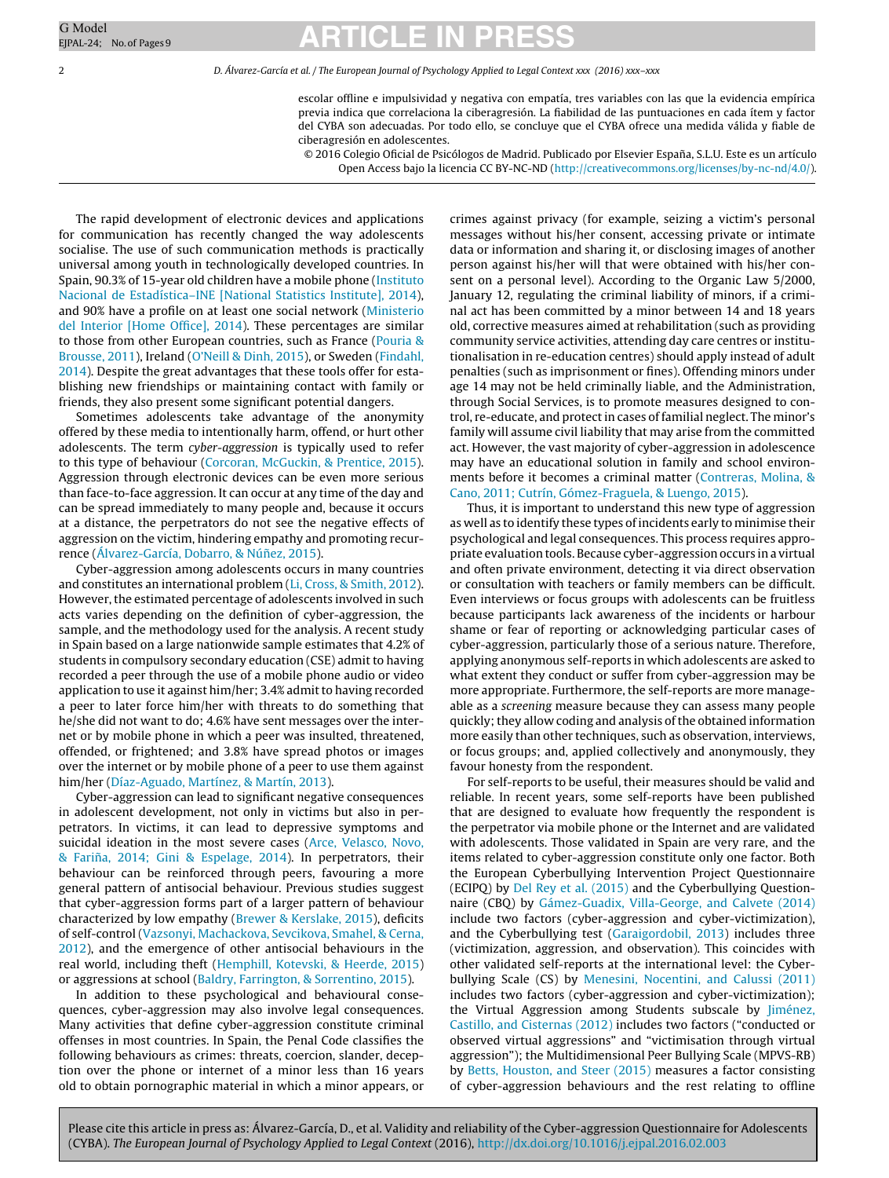2 D. Álvarez-García et al. / The European Journal of Psychology Applied to Legal Context xxx (2016) xxx–xxx

escolar offline e impulsividad y negativa con empatía, tres variables con las que la evidencia empírica previa indica que correlaciona la ciberagresión. La fiabilidad de las puntuaciones en cada ítem y factor del CYBA son adecuadas. Por todo ello, se concluye que el CYBA ofrece una medida válida y fiable de ciberagresión en adolescentes.

© 2016 Colegio Oficial de Psicólogos de Madrid. Publicado por Elsevier España, S.L.U. Este es un artículo Open Access bajo la licencia CC BY-NC-ND [\(http://creativecommons.org/licenses/by-nc-nd/4.0/\)](http://creativecommons.org/licenses/by-nc-nd/4.0/).

The rapid development of electronic devices and applications for communication has recently changed the way adolescents socialise. The use of such communication methods is practically universal among youth in technologically developed countries. In Spain, 90.3% of 15-year old children have a mobile phone ([Instituto](#page-8-0) [Nacional](#page-8-0) [de](#page-8-0) [Estadística–INE](#page-8-0) [\[National](#page-8-0) [Statistics](#page-8-0) [Institute\],](#page-8-0) [2014\),](#page-8-0) and 90% have a profile on at least one social network [\(Ministerio](#page-8-0) [del](#page-8-0) [Interior](#page-8-0) [\[Home](#page-8-0) [Office\],](#page-8-0) [2014\).](#page-8-0) These percentages are similar to those from other European countries, such as France ([Pouria](#page-8-0) [&](#page-8-0) [Brousse,](#page-8-0) [2011\),](#page-8-0) Ireland ([O'Neill](#page-8-0) [&](#page-8-0) [Dinh,](#page-8-0) [2015\),](#page-8-0) or Sweden [\(Findahl,](#page-8-0) [2014\).](#page-8-0) Despite the great advantages that these tools offer for establishing new friendships or maintaining contact with family or friends, they also present some significant potential dangers.

Sometimes adolescents take advantage of the anonymity offered by these media to intentionally harm, offend, or hurt other adolescents. The term cyber-aggression is typically used to refer to this type of behaviour ([Corcoran,](#page-8-0) [McGuckin,](#page-8-0) [&](#page-8-0) [Prentice,](#page-8-0) [2015\).](#page-8-0) Aggression through electronic devices can be even more serious than face-to-face aggression. It can occur at any time of the day and can be spread immediately to many people and, because it occurs at a distance, the perpetrators do not see the negative effects of aggression on the victim, hindering empathy and promoting recur-rence [\(Álvarez-García,](#page-7-0) [Dobarro,](#page-7-0) [&](#page-7-0) Núñez, [2015\).](#page-7-0)

Cyber-aggression among adolescents occurs in many countries and constitutes an international problem [\(Li,](#page-8-0) [Cross,](#page-8-0) [&](#page-8-0) [Smith,](#page-8-0) [2012\).](#page-8-0) However, the estimated percentage of adolescents involved in such acts varies depending on the definition of cyber-aggression, the sample, and the methodology used for the analysis. A recent study in Spain based on a large nationwide sample estimates that 4.2% of students in compulsory secondary education (CSE) admit to having recorded a peer through the use of a mobile phone audio or video application to use it against him/her; 3.4% admit to having recorded a peer to later force him/her with threats to do something that he/she did not want to do; 4.6% have sent messages over the internet or by mobile phone in which a peer was insulted, threatened, offended, or frightened; and 3.8% have spread photos or images over the internet or by mobile phone of a peer to use them against him/her ([Díaz-Aguado,](#page-8-0) [Martínez,](#page-8-0) [&](#page-8-0) [Martín,](#page-8-0) [2013\).](#page-8-0)

Cyber-aggression can lead to significant negative consequences in adolescent development, not only in victims but also in perpetrators. In victims, it can lead to depressive symptoms and suicidal ideation in the most severe cases [\(Arce,](#page-7-0) [Velasco,](#page-7-0) [Novo,](#page-7-0) [&](#page-7-0) Fariña, [2014;](#page-7-0) [Gini](#page-7-0) & [Espelage,](#page-7-0) [2014\).](#page-7-0) In perpetrators, their behaviour can be reinforced through peers, favouring a more general pattern of antisocial behaviour. Previous studies suggest that cyber-aggression forms part of a larger pattern of behaviour characterized by low empathy ([Brewer](#page-7-0) [&](#page-7-0) [Kerslake,](#page-7-0) [2015\),](#page-7-0) deficits of self-control ([Vazsonyi,](#page-8-0) [Machackova,](#page-8-0) [Sevcikova,](#page-8-0) [Smahel,](#page-8-0) [&](#page-8-0) [Cerna,](#page-8-0) [2012\),](#page-8-0) and the emergence of other antisocial behaviours in the real world, including theft ([Hemphill,](#page-8-0) [Kotevski,](#page-8-0) [&](#page-8-0) [Heerde,](#page-8-0) [2015\)](#page-8-0) or aggressions at school ([Baldry,](#page-7-0) [Farrington,](#page-7-0) [&](#page-7-0) [Sorrentino,](#page-7-0) [2015\).](#page-7-0)

In addition to these psychological and behavioural consequences, cyber-aggression may also involve legal consequences. Many activities that define cyber-aggression constitute criminal offenses in most countries. In Spain, the Penal Code classifies the following behaviours as crimes: threats, coercion, slander, deception over the phone or internet of a minor less than 16 years old to obtain pornographic material in which a minor appears, or crimes against privacy (for example, seizing a victim's personal messages without his/her consent, accessing private or intimate data or information and sharing it, or disclosing images of another person against his/her will that were obtained with his/her consent on a personal level). According to the Organic Law 5/2000, January 12, regulating the criminal liability of minors, if a criminal act has been committed by a minor between 14 and 18 years old, corrective measures aimed at rehabilitation (such as providing community service activities, attending day care centres or institutionalisation in re-education centres) should apply instead of adult penalties (such as imprisonment or fines). Offending minors under age 14 may not be held criminally liable, and the Administration, through Social Services, is to promote measures designed to control, re-educate, and protect in cases of familial neglect. The minor's family will assume civil liability that may arise from the committed act. However, the vast majority of cyber-aggression in adolescence may have an educational solution in family and school environments before it becomes a criminal matter ([Contreras,](#page-7-0) [Molina,](#page-7-0) [&](#page-7-0) [Cano,](#page-7-0) [2011;](#page-7-0) [Cutrín,](#page-7-0) [Gómez-Fraguela,](#page-7-0) [&](#page-7-0) [Luengo,](#page-7-0) [2015\).](#page-7-0)

Thus, it is important to understand this new type of aggression as well as to identify these types of incidents early to minimise their psychological and legal consequences. This process requires appropriate evaluation tools. Because cyber-aggression occurs in a virtual and often private environment, detecting it via direct observation or consultation with teachers or family members can be difficult. Even interviews or focus groups with adolescents can be fruitless because participants lack awareness of the incidents or harbour shame or fear of reporting or acknowledging particular cases of cyber-aggression, particularly those of a serious nature. Therefore, applying anonymous self-reports in which adolescents are asked to what extent they conduct or suffer from cyber-aggression may be more appropriate. Furthermore, the self-reports are more manageable as a screening measure because they can assess many people quickly; they allow coding and analysis of the obtained information more easily than other techniques, such as observation, interviews, or focus groups; and, applied collectively and anonymously, they favour honesty from the respondent.

For self-reports to be useful, their measures should be valid and reliable. In recent years, some self-reports have been published that are designed to evaluate how frequently the respondent is the perpetrator via mobile phone or the Internet and are validated with adolescents. Those validated in Spain are very rare, and the items related to cyber-aggression constitute only one factor. Both the European Cyberbullying Intervention Project Questionnaire (ECIPQ) by [Del](#page-8-0) [Rey](#page-8-0) et [al.](#page-8-0) [\(2015\)](#page-8-0) and the Cyberbullying Questionnaire (CBQ) by [Gámez-Guadix,](#page-8-0) [Villa-George,](#page-8-0) [and](#page-8-0) [Calvete](#page-8-0) [\(2014\)](#page-8-0) include two factors (cyber-aggression and cyber-victimization), and the Cyberbullying test [\(Garaigordobil,](#page-8-0) [2013\)](#page-8-0) includes three (victimization, aggression, and observation). This coincides with other validated self-reports at the international level: the Cyberbullying Scale (CS) by [Menesini,](#page-8-0) [Nocentini,](#page-8-0) [and](#page-8-0) [Calussi](#page-8-0) [\(2011\)](#page-8-0) includes two factors (cyber-aggression and cyber-victimization); the Virtual Aggression among Students subscale by [Jiménez,](#page-8-0) [Castillo,](#page-8-0) [and](#page-8-0) [Cisternas](#page-8-0) [\(2012\)](#page-8-0) includes two factors ("conducted or observed virtual aggressions" and "victimisation through virtual aggression"); the Multidimensional Peer Bullying Scale (MPVS-RB) by [Betts,](#page-7-0) [Houston,](#page-7-0) [and](#page-7-0) [Steer](#page-7-0) [\(2015\)](#page-7-0) measures a factor consisting of cyber-aggression behaviours and the rest relating to offline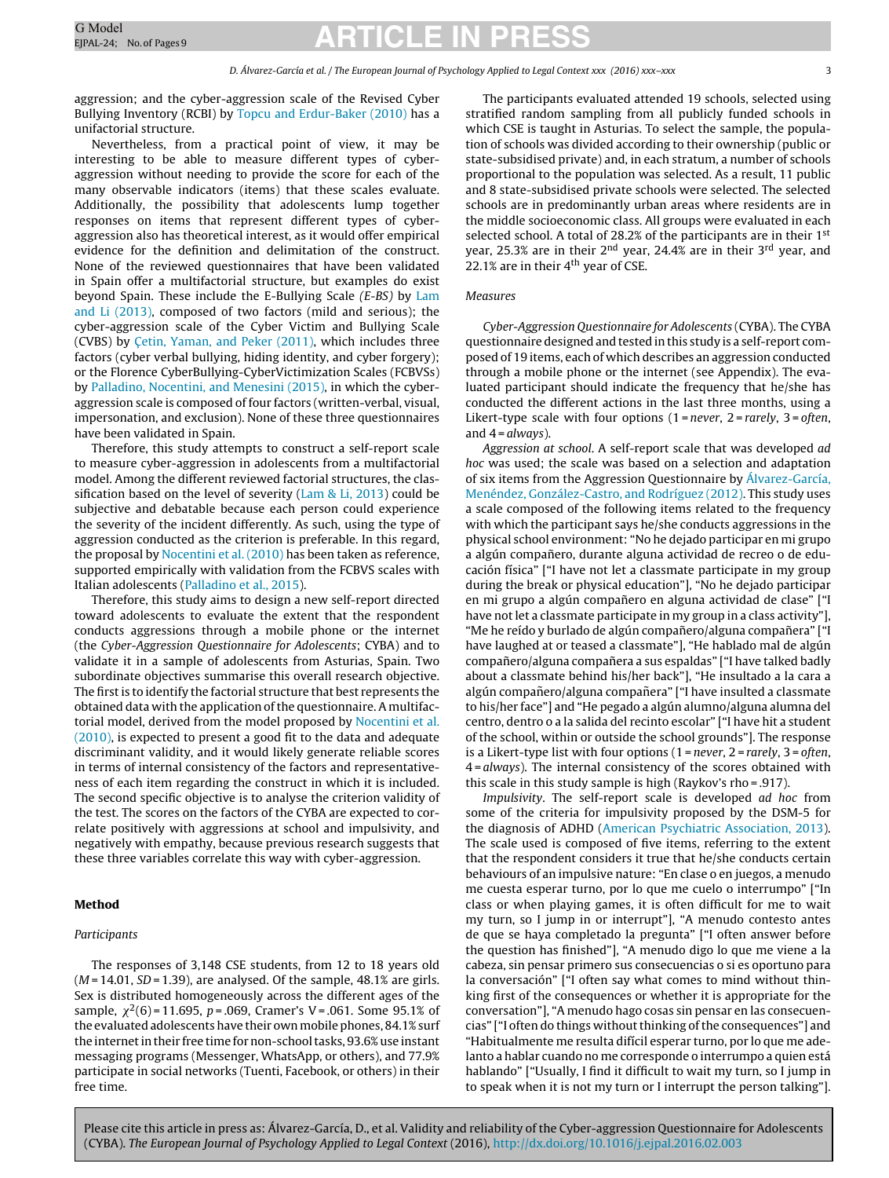aggression; and the cyber-aggression scale of the Revised Cyber Bullying Inventory (RCBI) by [Topcu](#page-8-0) [and](#page-8-0) [Erdur-Baker](#page-8-0) [\(2010\)](#page-8-0) has a unifactorial structure.

Nevertheless, from a practical point of view, it may be interesting to be able to measure different types of cyberaggression without needing to provide the score for each of the many observable indicators (items) that these scales evaluate. Additionally, the possibility that adolescents lump together responses on items that represent different types of cyberaggression also has theoretical interest, as it would offer empirical evidence for the definition and delimitation of the construct. None of the reviewed questionnaires that have been validated in Spain offer a multifactorial structure, but examples do exist beyond Spain. These include the E-Bullying Scale (E-BS) by [Lam](#page-8-0) [and](#page-8-0) [Li](#page-8-0) [\(2013\),](#page-8-0) composed of two factors (mild and serious); the cyber-aggression scale of the Cyber Victim and Bullying Scale (CVBS) by C[etin,](#page-7-0) [Yaman,](#page-7-0) [and](#page-7-0) [Peker](#page-7-0) [\(2011\),](#page-7-0) which includes three factors (cyber verbal bullying, hiding identity, and cyber forgery); or the Florence CyberBullying-CyberVictimization Scales (FCBVSs) by [Palladino,](#page-8-0) [Nocentini,](#page-8-0) [and](#page-8-0) [Menesini](#page-8-0) [\(2015\),](#page-8-0) in which the cyberaggression scale is composed of four factors (written-verbal, visual, impersonation, and exclusion). None of these three questionnaires have been validated in Spain.

Therefore, this study attempts to construct a self-report scale to measure cyber-aggression in adolescents from a multifactorial model. Among the different reviewed factorial structures, the classification based on the level of severity ([Lam](#page-8-0) [&](#page-8-0) [Li,](#page-8-0) [2013\)](#page-8-0) could be subjective and debatable because each person could experience the severity of the incident differently. As such, using the type of aggression conducted as the criterion is preferable. In this regard, the proposal by [Nocentini](#page-8-0) et [al.](#page-8-0) [\(2010\)](#page-8-0) has been taken as reference, supported empirically with validation from the FCBVS scales with Italian adolescents ([Palladino](#page-8-0) et [al.,](#page-8-0) [2015\).](#page-8-0)

Therefore, this study aims to design a new self-report directed toward adolescents to evaluate the extent that the respondent conducts aggressions through a mobile phone or the internet (the Cyber-Aggression Questionnaire for Adolescents; CYBA) and to validate it in a sample of adolescents from Asturias, Spain. Two subordinate objectives summarise this overall research objective. The first is to identify the factorial structure that best represents the obtained data with the application of the questionnaire. A multifactorial model, derived from the model proposed by [Nocentini](#page-8-0) et [al.](#page-8-0) [\(2010\),](#page-8-0) is expected to present a good fit to the data and adequate discriminant validity, and it would likely generate reliable scores in terms of internal consistency of the factors and representativeness of each item regarding the construct in which it is included. The second specific objective is to analyse the criterion validity of the test. The scores on the factors of the CYBA are expected to correlate positively with aggressions at school and impulsivity, and negatively with empathy, because previous research suggests that these three variables correlate this way with cyber-aggression.

#### **Method**

#### Participants

The responses of 3,148 CSE students, from 12 to 18 years old  $(M = 14.01, SD = 1.39)$ , are analysed. Of the sample, 48.1% are girls. Sex is distributed homogeneously across the different ages of the sample,  $\chi^2(6)$  = 11.695, p = .069, Cramer's V = .061. Some 95.1% of the evaluated adolescents have their own mobile phones, 84.1% surf the internet in their free time for non-school tasks, 93.6% use instant messaging programs (Messenger, WhatsApp, or others), and 77.9% participate in social networks (Tuenti, Facebook, or others) in their free time.

The participants evaluated attended 19 schools, selected using stratified random sampling from all publicly funded schools in which CSE is taught in Asturias. To select the sample, the population of schools was divided according to their ownership (public or state-subsidised private) and, in each stratum, a number of schools proportional to the population was selected. As a result, 11 public and 8 state-subsidised private schools were selected. The selected schools are in predominantly urban areas where residents are in the middle socioeconomic class. All groups were evaluated in each selected school. A total of 28.2% of the participants are in their 1<sup>st</sup> year, 25.3% are in their 2<sup>nd</sup> year, 24.4% are in their 3<sup>rd</sup> year, and 22.1% are in their  $4<sup>th</sup>$  year of CSE.

#### Measures

Cyber-Aggression Questionnaire for Adolescents (CYBA). The CYBA questionnaire designed and tested in this study is a self-report composed of 19 items, each of which describes an aggression conducted through a mobile phone or the internet (see Appendix). The evaluated participant should indicate the frequency that he/she has conducted the different actions in the last three months, using a Likert-type scale with four options  $(1 = never, 2 = rarely, 3 = often,$ and  $4 = always$ ).

Aggression at school. A self-report scale that was developed ad hoc was used; the scale was based on a selection and adaptation of six items from the Aggression Questionnaire by [Álvarez-García,](#page-7-0) [Menéndez,](#page-7-0) [González-Castro,](#page-7-0) [and](#page-7-0) [Rodríguez](#page-7-0) [\(2012\).](#page-7-0) This study uses a scale composed of the following items related to the frequency with which the participant says he/she conducts aggressions in the physical school environment: "No he dejado participar en mi grupo a algún compañero, durante alguna actividad de recreo o de educación física" ["I have not let a classmate participate in my group during the break or physical education"], "No he dejado participar en mi grupo a algún compañero en alguna actividad de clase" ["I have not let a classmate participate in my group in a class activity"], "Me he reído y burlado de algún compañero/alguna compañera" ["I have laughed at or teased a classmate"], "He hablado mal de algún compañero/alguna compañera a sus espaldas" ["I have talked badly about a classmate behind his/her back"], "He insultado a la cara a algún compañero/alguna compañera" ["I have insulted a classmate to his/her face"] and "He pegado a algún alumno/alguna alumna del centro, dentro o a la salida del recinto escolar" ["I have hit a student of the school, within or outside the school grounds"]. The response is a Likert-type list with four options  $(1 = never, 2 = rarely, 3 = often,$ 4 = always). The internal consistency of the scores obtained with this scale in this study sample is high (Raykov's rho = .917).

Impulsivity. The self-report scale is developed ad hoc from some of the criteria for impulsivity proposed by the DSM-5 for the diagnosis of ADHD ([American](#page-7-0) [Psychiatric](#page-7-0) [Association,](#page-7-0) [2013\).](#page-7-0) The scale used is composed of five items, referring to the extent that the respondent considers it true that he/she conducts certain behaviours of an impulsive nature: "En clase o en juegos, a menudo me cuesta esperar turno, por lo que me cuelo o interrumpo" ["In class or when playing games, it is often difficult for me to wait my turn, so I jump in or interrupt"], "A menudo contesto antes de que se haya completado la pregunta" ["I often answer before the question has finished"], "A menudo digo lo que me viene a la cabeza, sin pensar primero sus consecuencias o si es oportuno para la conversación" ["I often say what comes to mind without thinking first of the consequences or whether it is appropriate for the conversation"], "A menudo hago cosas sin pensar en las consecuencias" ["I often do things without thinking of the consequences"] and "Habitualmente me resulta difícil esperar turno, por lo que me adelanto a hablar cuando no me corresponde o interrumpo a quien está hablando" ["Usually, I find it difficult to wait my turn, so I jump in to speak when it is not my turn or I interrupt the person talking"].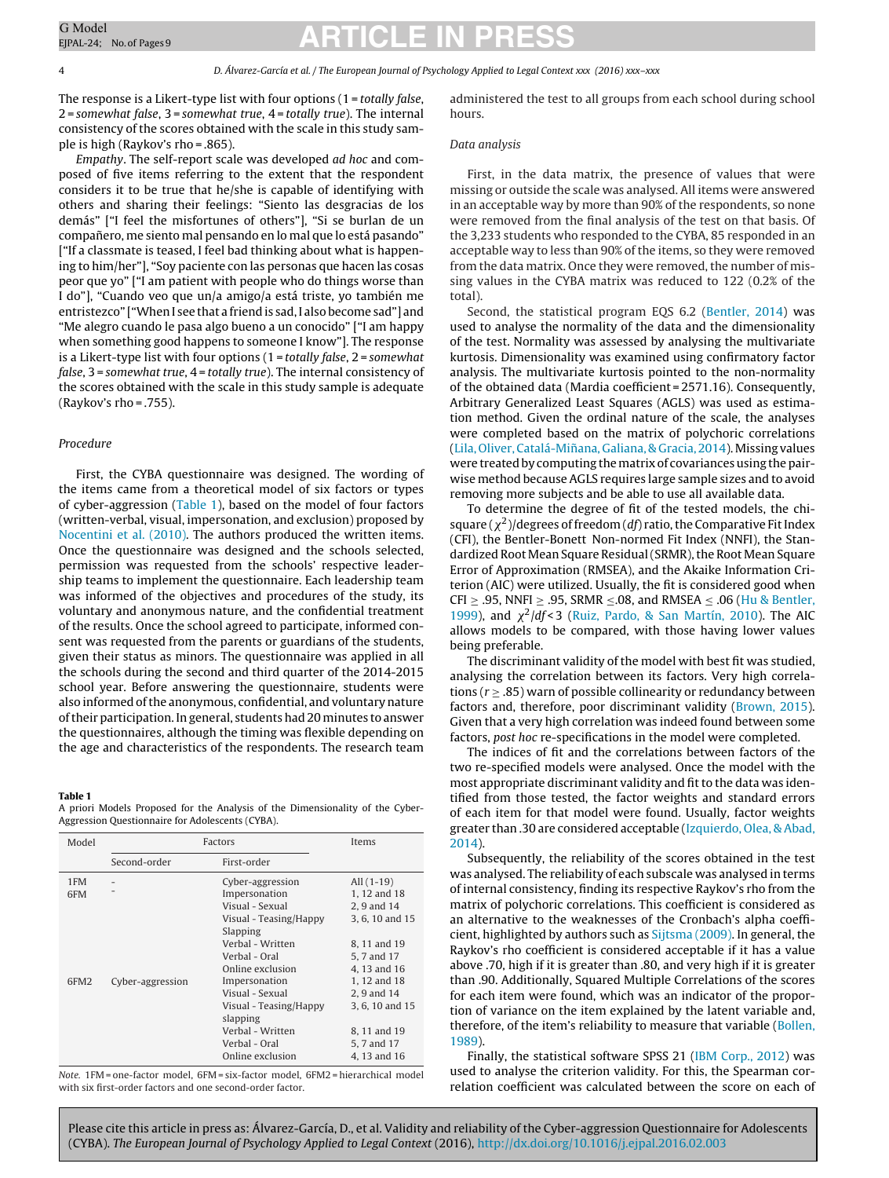4 D. Álvarez-García et al. / The European Journal of Psychology Applied to Legal Context xxx (2016) xxx–xxx

The response is a Likert-type list with four options  $(1 = totally false,$ 2 = somewhat false, 3 = somewhat true, 4 = totally true). The internal consistency of the scores obtained with the scale in this study sample is high (Raykov's rho = .865).

Empathy. The self-report scale was developed ad hoc and composed of five items referring to the extent that the respondent considers it to be true that he/she is capable of identifying with others and sharing their feelings: "Siento las desgracias de los demás" ["I feel the misfortunes of others"], "Si se burlan de un compañero, me siento mal pensando en lo mal que lo está pasando" ["If a classmate is teased, I feel bad thinking about what is happening to him/her"], "Soy paciente con las personas que hacen las cosas peor que yo" ["I am patient with people who do things worse than I do"], "Cuando veo que un/a amigo/a está triste, yo también me entristezco" ["When I see that a friend is sad, I also become sad"] and "Me alegro cuando le pasa algo bueno a un conocido" ["I am happy when something good happens to someone I know"]. The response is a Likert-type list with four options  $(1 = totally false, 2 = somewhat)$ false, 3 = somewhat true, 4 = totally true). The internal consistency of the scores obtained with the scale in this study sample is adequate (Raykov's rho = .755).

#### Procedure

First, the CYBA questionnaire was designed. The wording of the items came from a theoretical model of six factors or types of cyber-aggression (Table 1), based on the model of four factors (written-verbal, visual, impersonation, and exclusion) proposed by [Nocentini](#page-8-0) et [al.](#page-8-0) [\(2010\).](#page-8-0) The authors produced the written items. Once the questionnaire was designed and the schools selected, permission was requested from the schools' respective leadership teams to implement the questionnaire. Each leadership team was informed of the objectives and procedures of the study, its voluntary and anonymous nature, and the confidential treatment of the results. Once the school agreed to participate, informed consent was requested from the parents or guardians of the students, given their status as minors. The questionnaire was applied in all the schools during the second and third quarter of the 2014-2015 school year. Before answering the questionnaire, students were also informed of the anonymous, confidential, and voluntary nature oftheir participation. In general, students had 20 minutes to answer the questionnaires, although the timing was flexible depending on the age and characteristics of the respondents. The research team

#### **Table 1**

A priori Models Proposed for the Analysis of the Dimensionality of the Cyber-Aggression Questionnaire for Adolescents (CYBA).

| Model            |                  | Factors                                                                                                                                                              | Items                                                                                                                       |
|------------------|------------------|----------------------------------------------------------------------------------------------------------------------------------------------------------------------|-----------------------------------------------------------------------------------------------------------------------------|
|                  | Second-order     | First-order                                                                                                                                                          |                                                                                                                             |
| 1FM<br>6FM       |                  | Cyber-aggression<br>Impersonation<br>Visual - Sexual<br>Visual - Teasing/Happy<br>Slapping<br>Verbal - Written                                                       | All $(1-19)$<br>1, 12 and 18<br>2, 9 and 14<br>3, 6, 10 and 15<br>8, 11 and 19                                              |
| 6FM <sub>2</sub> | Cyber-aggression | Verbal - Oral<br>Online exclusion<br>Impersonation<br>Visual - Sexual<br>Visual - Teasing/Happy<br>slapping<br>Verbal - Written<br>Verbal - Oral<br>Online exclusion | 5, 7 and 17<br>4, 13 and 16<br>1, 12 and 18<br>2.9 and 14<br>3, 6, 10 and 15<br>8, 11 and 19<br>5, 7 and 17<br>4, 13 and 16 |

Note. 1FM = one-factor model, 6FM = six-factor model, 6FM2 = hierarchical model with six first-order factors and one second-order factor.

administered the test to all groups from each school during school hours.

#### Data analysis

First, in the data matrix, the presence of values that were missing or outside the scale was analysed. All items were answered in an acceptable way by more than 90% of the respondents, so none were removed from the final analysis of the test on that basis. Of the 3,233 students who responded to the CYBA, 85 responded in an acceptable way to less than 90% of the items, so they were removed from the data matrix. Once they were removed, the number of missing values in the CYBA matrix was reduced to 122 (0.2% of the total).

Second, the statistical program EQS 6.2 [\(Bentler,](#page-7-0) [2014\)](#page-7-0) was used to analyse the normality of the data and the dimensionality of the test. Normality was assessed by analysing the multivariate kurtosis. Dimensionality was examined using confirmatory factor analysis. The multivariate kurtosis pointed to the non-normality of the obtained data (Mardia coefficient = 2571.16). Consequently, Arbitrary Generalized Least Squares (AGLS) was used as estimation method. Given the ordinal nature of the scale, the analyses were completed based on the matrix of polychoric correlations [\(Lila,](#page-8-0) Oliver, Catalá-Miñana, [Galiana,](#page-8-0) [&](#page-8-0) [Gracia,](#page-8-0) [2014\).](#page-8-0) Missing values were treated by computing the matrix of covariances using the pairwise method because AGLS requires large sample sizes and to avoid removing more subjects and be able to use all available data.

To determine the degree of fit of the tested models, the chisquare ( $\chi^2$ )/degrees of freedom (df) ratio, the Comparative Fit Index (CFI), the Bentler-Bonett Non-normed Fit Index (NNFI), the Standardized Root Mean Square Residual (SRMR), the Root Mean Square Error of Approximation (RMSEA), and the Akaike Information Criterion (AIC) were utilized. Usually, the fit is considered good when CFI  $\geq$  .95, NNFI  $\geq$  .95, SRMR  $\leq$ .08, and RMSEA  $\leq$  .06 ([Hu](#page-8-0) [&](#page-8-0) [Bentler,](#page-8-0) [1999\),](#page-8-0) and  $\chi^2/df < 3$  ([Ruiz,](#page-8-0) [Pardo,](#page-8-0) [&](#page-8-0) [San](#page-8-0) [Martín,](#page-8-0) [2010\).](#page-8-0) The AIC allows models to be compared, with those having lower values being preferable.

The discriminant validity of the model with best fit was studied, analysing the correlation between its factors. Very high correlations ( $r \geq .85$ ) warn of possible collinearity or redundancy between factors and, therefore, poor discriminant validity [\(Brown,](#page-7-0) [2015\).](#page-7-0) Given that a very high correlation was indeed found between some factors, post hoc re-specifications in the model were completed.

The indices of fit and the correlations between factors of the two re-specified models were analysed. Once the model with the most appropriate discriminant validity and fit to the data was identified from those tested, the factor weights and standard errors of each item for that model were found. Usually, factor weights greater than .30 are considered acceptable [\(Izquierdo,](#page-8-0) [Olea,](#page-8-0) [&](#page-8-0) [Abad,](#page-8-0) [2014\).](#page-8-0)

Subsequently, the reliability of the scores obtained in the test was analysed. The reliability of each subscale was analysed in terms of internal consistency, finding its respective Raykov's rho from the matrix of polychoric correlations. This coefficient is considered as an alternative to the weaknesses of the Cronbach's alpha coefficient, highlighted by authors such as [Sijtsma](#page-8-0) [\(2009\).](#page-8-0) In general, the Raykov's rho coefficient is considered acceptable if it has a value above .70, high if it is greater than .80, and very high if it is greater than .90. Additionally, Squared Multiple Correlations of the scores for each item were found, which was an indicator of the proportion of variance on the item explained by the latent variable and, therefore, of the item's reliability to measure that variable ([Bollen,](#page-7-0) [1989\).](#page-7-0)

Finally, the statistical software SPSS 21 [\(IBM](#page-8-0) [Corp.,](#page-8-0) [2012\)](#page-8-0) was used to analyse the criterion validity. For this, the Spearman correlation coefficient was calculated between the score on each of

<span id="page-3-0"></span>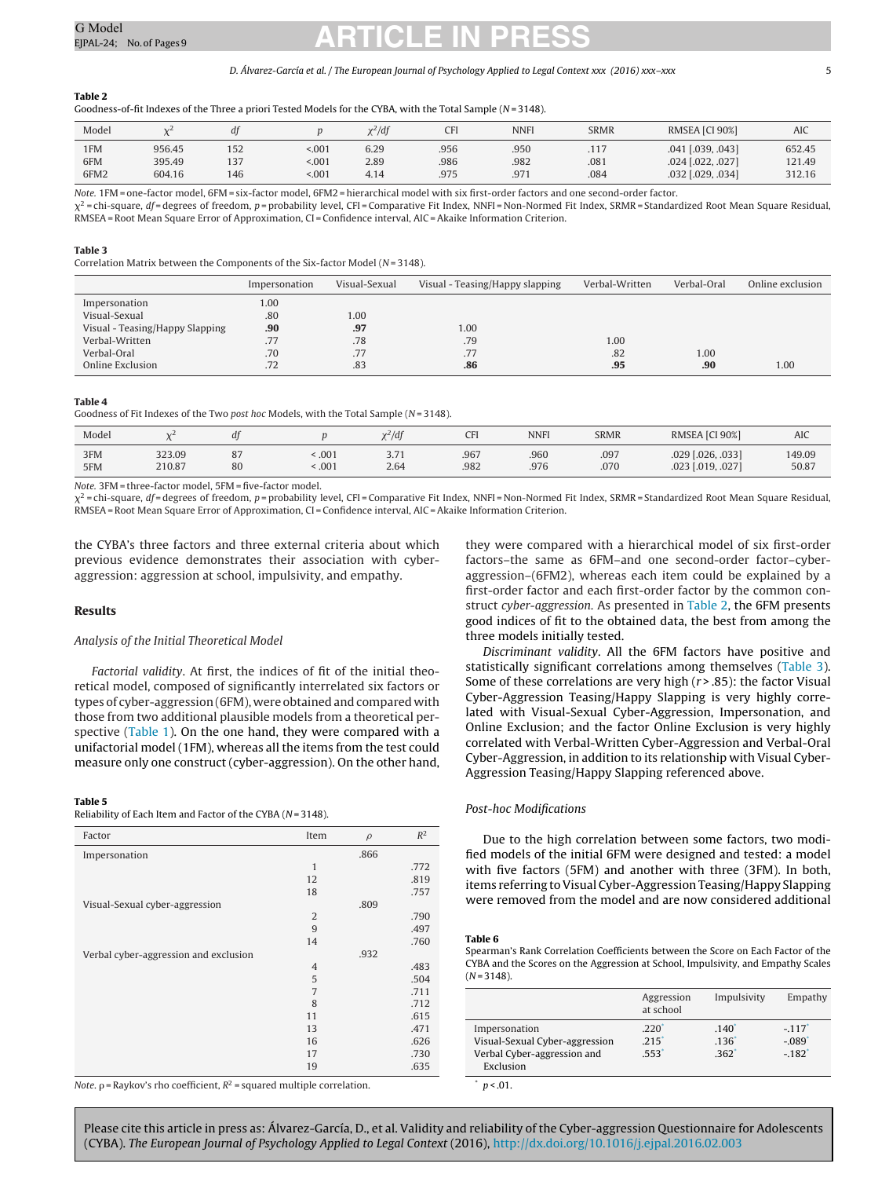#### D. Álvarez-García et al. / The European Journal of Psychology Applied to Legal Context xxx (2016) xxx–xxx 55

#### <span id="page-4-0"></span>**Table 2**

Goodness-of-fit Indexes of the Three a priori Tested Models for the CYBA, with the Total Sample ( $N = 3148$ ).

| Model |        | dt  |       | $x^2/df$ | CFI  | <b>NNFI</b> | <b>SRMR</b> | RMSEA [CI 90%]    | AIC    |
|-------|--------|-----|-------|----------|------|-------------|-------------|-------------------|--------|
| 1FM   | 956.45 | 152 | < 001 | 6.29     | .956 | .950        | .117        | .041 [.039, .043] | 652.45 |
| 6FM   | 395.49 | 137 | < 001 | 2.89     | .986 | .982        | .081        | .024 [.022, .027] | 121.49 |
| 6FM2  | 604.16 | 146 | 5.001 | 4.14     | .975 | .971        | .084        | .032 [.029, .034] | 312.16 |

Note. 1FM = one-factor model, 6FM = six-factor model, 6FM2 = hierarchical model with six first-order factors and one second-order factor.

 $\chi^2$ =chi-square, df=degrees of freedom, p=probability level, CFI=Comparative Fit Index, NNFI=Non-Normed Fit Index, SRMR=Standardized Root Mean Square Residual, RMSEA= Root Mean Square Error of Approximation, CI = Confidence interval, AIC =Akaike Information Criterion.

#### **Table 3**

Correlation Matrix between the Components of the Six-factor Model ( $N = 3148$ ).

|                                 | Impersonation | Visual-Sexual | Visual - Teasing/Happy slapping | Verbal-Written | Verbal-Oral | Online exclusion |
|---------------------------------|---------------|---------------|---------------------------------|----------------|-------------|------------------|
| Impersonation                   | 1.00          |               |                                 |                |             |                  |
| Visual-Sexual                   | .80           | 1.00          |                                 |                |             |                  |
| Visual - Teasing/Happy Slapping | .90           | .97           | 1.00                            |                |             |                  |
| Verbal-Written                  | .77           | .78           | .79                             | 1.00           |             |                  |
| Verbal-Oral                     | .70           | .77           | .77                             | .82            | 1.00        |                  |
| Online Exclusion                | .72           | .83           | .86                             | .95            | .90         | 1.00             |

#### **Table 4**

Goodness of Fit Indexes of the Two post hoc Models, with the Total Sample ( $N = 3148$ ).

| Model      |                  | df                    |              | $x^2/df$                            |              | <b>NNFI</b>  | <b>SRMR</b>  | RMSEA [CI 90%]                         | <b>AIC</b>      |
|------------|------------------|-----------------------|--------------|-------------------------------------|--------------|--------------|--------------|----------------------------------------|-----------------|
| 3FM<br>5FM | 323.09<br>210.87 | $\Omega$<br>، ہ<br>80 | .001<br>.001 | 271<br>$\sim$ $\sim$ $\sim$<br>2.64 | .967<br>.982 | .960<br>.976 | .097<br>.070 | .029 [.026, .033]<br>.023 [.019, .027] | 149.09<br>50.87 |

Note. 3FM = three-factor model, 5FM = five-factor model.

 $\chi^2$ =chi-square, df=degrees of freedom, p=probability level, CFI=Comparative Fit Index, NNFI=Non-Normed Fit Index, SRMR=Standardized Root Mean Square Residual, RMSEA= Root Mean Square Error of Approximation, CI = Confidence interval, AIC =Akaike Information Criterion.

the CYBA's three factors and three external criteria about which previous evidence demonstrates their association with cyberaggression: aggression at school, impulsivity, and empathy.

#### **Results**

#### Analysis of the Initial Theoretical Model

Factorial validity. At first, the indices of fit of the initial theoretical model, composed of significantly interrelated six factors or types of cyber-aggression (6FM), were obtained and compared with those from two additional plausible models from a theoretical per-spective [\(Table](#page-3-0) 1). On the one hand, they were compared with a unifactorial model (1FM), whereas all the items from the test could measure only one construct (cyber-aggression). On the other hand,

#### **Table 5**

Reliability of Each Item and Factor of the CYBA ( $N = 3148$ ).

| Factor                                | Item           | $\rho$ | $R^2$ |
|---------------------------------------|----------------|--------|-------|
| Impersonation                         |                | .866   |       |
|                                       | $\mathbf{1}$   |        | .772  |
|                                       | 12             |        | .819  |
|                                       | 18             |        | .757  |
| Visual-Sexual cyber-aggression        |                | .809   |       |
|                                       | $\overline{2}$ |        | .790  |
|                                       | 9              |        | .497  |
|                                       | 14             |        | .760  |
| Verbal cyber-aggression and exclusion |                | .932   |       |
|                                       | $\overline{4}$ |        | .483  |
|                                       | 5              |        | .504  |
|                                       | $\overline{7}$ |        | .711  |
|                                       | 8              |        | .712  |
|                                       | 11             |        | .615  |
|                                       | 13             |        | .471  |
|                                       | 16             |        | .626  |
|                                       | 17             |        | .730  |
|                                       | 19             |        | .635  |

Note.  $\rho$  = Raykov's rho coefficient,  $R^2$  = squared multiple correlation.

they were compared with a hierarchical model of six first-order factors–the same as 6FM–and one second-order factor–cyberaggression–(6FM2), whereas each item could be explained by a first-order factor and each first-order factor by the common construct cyber-aggression. As presented in Table 2, the 6FM presents good indices of fit to the obtained data, the best from among the three models initially tested.

Discriminant validity. All the 6FM factors have positive and statistically significant correlations among themselves (Table 3). Some of these correlations are very high  $(r > .85)$ : the factor Visual Cyber-Aggression Teasing/Happy Slapping is very highly correlated with Visual-Sexual Cyber-Aggression, Impersonation, and Online Exclusion; and the factor Online Exclusion is very highly correlated with Verbal-Written Cyber-Aggression and Verbal-Oral Cyber-Aggression, in addition to its relationship with Visual Cyber-Aggression Teasing/Happy Slapping referenced above.

#### Post-hoc Modifications

Due to the high correlation between some factors, two modified models of the initial 6FM were designed and tested: a model with five factors (5FM) and another with three (3FM). In both, items referring to Visual Cyber-Aggression Teasing/Happy Slapping were removed from the model and are now considered additional

#### **Table 6**

Spearman's Rank Correlation Coefficients between the Score on Each Factor of the CYBA and the Scores on the Aggression at School, Impulsivity, and Empathy Scales  $(N = 3148)$ .

|                                                                                             | Aggression<br>at school             | Impulsivity                                  | Empathy                                                 |
|---------------------------------------------------------------------------------------------|-------------------------------------|----------------------------------------------|---------------------------------------------------------|
| Impersonation<br>Visual-Sexual Cyber-aggression<br>Verbal Cyber-aggression and<br>Exclusion | .220<br>$.215$ <sup>*</sup><br>.553 | $.140^{1}$<br>$.136*$<br>$.362$ <sup>*</sup> | $-.117$ <sup>*</sup><br>$-.089$<br>$-.182$ <sup>*</sup> |

 $p < .01$ .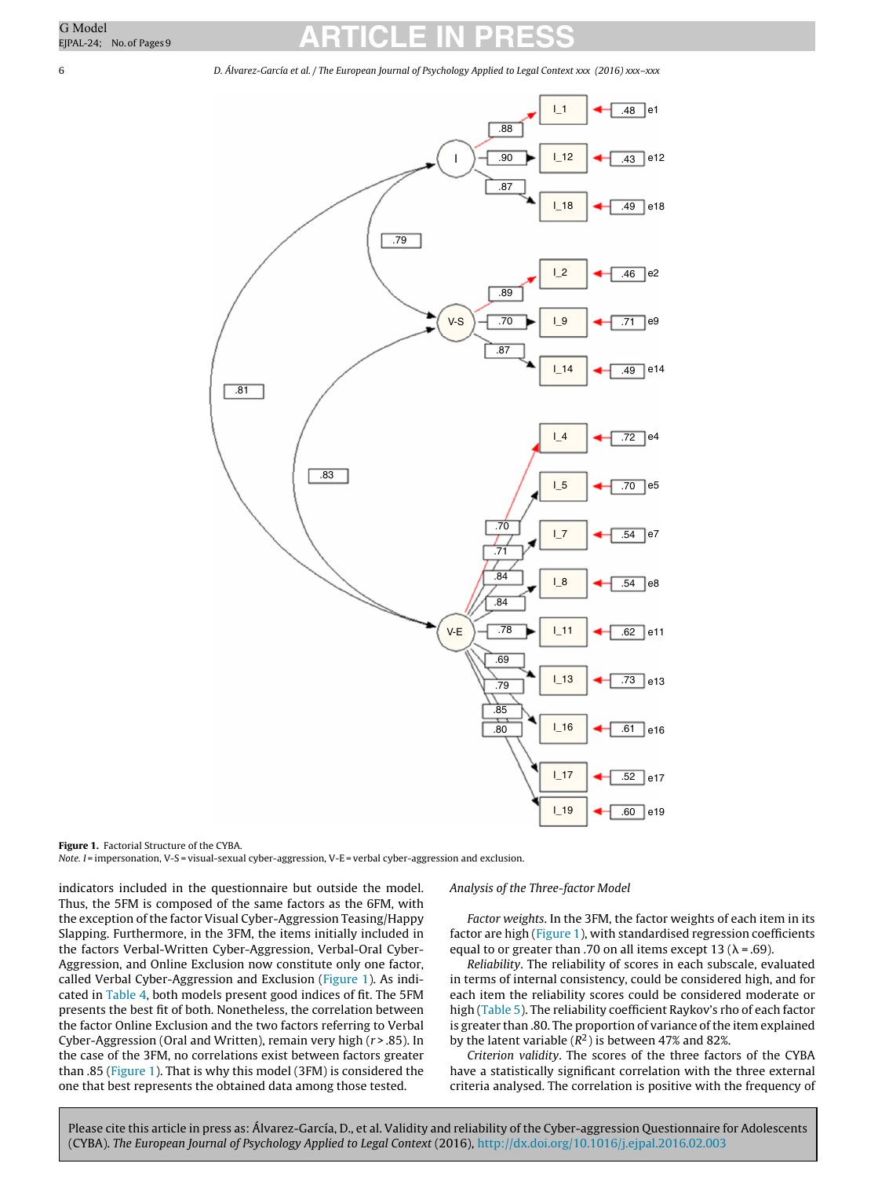6 D. Álvarez-García et al. / The European Journal of Psychology Applied to Legal Context xxx (2016) xxx–xxx



**Figure 1.** Factorial Structure of the CYBA.

Note. I = impersonation, V-S = visual-sexual cyber-aggression, V-E = verbal cyber-aggression and exclusion.

indicators included in the questionnaire but outside the model. Thus, the 5FM is composed of the same factors as the 6FM, with the exception of the factor Visual Cyber-Aggression Teasing/Happy Slapping. Furthermore, in the 3FM, the items initially included in the factors Verbal-Written Cyber-Aggression, Verbal-Oral Cyber-Aggression, and Online Exclusion now constitute only one factor, called Verbal Cyber-Aggression and Exclusion (Figure 1). As indicated in [Table](#page-4-0) 4, both models present good indices of fit. The 5FM presents the best fit of both. Nonetheless, the correlation between the factor Online Exclusion and the two factors referring to Verbal Cyber-Aggression (Oral and Written), remain very high  $(r > .85)$ . In the case of the 3FM, no correlations exist between factors greater than .85 (Figure 1). That is why this model (3FM) is considered the one that best represents the obtained data among those tested.

#### Analysis of the Three-factor Model

Factor weights. In the 3FM, the factor weights of each item in its factor are high (Figure 1), with standardised regression coefficients equal to or greater than .70 on all items except 13 ( $\lambda$  = .69).

Reliability. The reliability of scores in each subscale, evaluated in terms of internal consistency, could be considered high, and for each item the reliability scores could be considered moderate or high [\(Table](#page-4-0) 5). The reliability coefficient Raykov's rho of each factor is greater than .80. The proportion of variance of the item explained by the latent variable  $(R^2)$  is between 47% and 82%.

Criterion validity. The scores of the three factors of the CYBA have a statistically significant correlation with the three external criteria analysed. The correlation is positive with the frequency of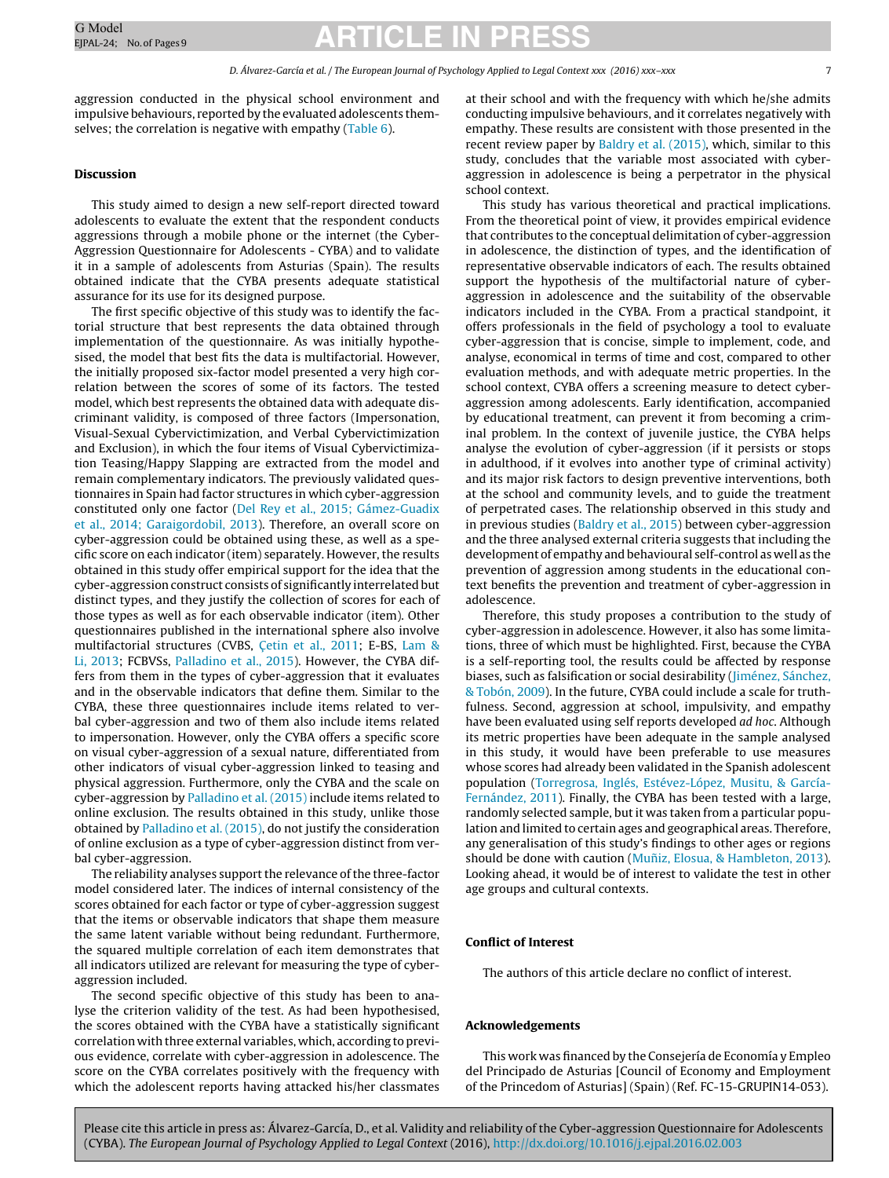aggression conducted in the physical school environment and impulsive behaviours, reported by the evaluated adolescents them-selves; the correlation is negative with empathy [\(Table](#page-4-0) 6).

#### **Discussion**

This study aimed to design a new self-report directed toward adolescents to evaluate the extent that the respondent conducts aggressions through a mobile phone or the internet (the Cyber-Aggression Questionnaire for Adolescents - CYBA) and to validate it in a sample of adolescents from Asturias (Spain). The results obtained indicate that the CYBA presents adequate statistical assurance for its use for its designed purpose.

The first specific objective of this study was to identify the factorial structure that best represents the data obtained through implementation of the questionnaire. As was initially hypothesised, the model that best fits the data is multifactorial. However, the initially proposed six-factor model presented a very high correlation between the scores of some of its factors. The tested model, which best represents the obtained data with adequate discriminant validity, is composed of three factors (Impersonation, Visual-Sexual Cybervictimization, and Verbal Cybervictimization and Exclusion), in which the four items of Visual Cybervictimization Teasing/Happy Slapping are extracted from the model and remain complementary indicators. The previously validated questionnaires in Spain had factor structures in which cyber-aggression constituted only one factor ([Del](#page-8-0) [Rey](#page-8-0) et [al.,](#page-8-0) [2015;](#page-8-0) [Gámez-Guadix](#page-8-0) et [al.,](#page-8-0) [2014;](#page-8-0) [Garaigordobil,](#page-8-0) [2013\).](#page-8-0) Therefore, an overall score on cyber-aggression could be obtained using these, as well as a specific score on each indicator (item) separately. However, the results obtained in this study offer empirical support for the idea that the cyber-aggression construct consists of significantly interrelated but distinct types, and they justify the collection of scores for each of those types as well as for each observable indicator (item). Other questionnaires published in the international sphere also involve multifactorial structures (CVBS, C[etin](#page-7-0) et [al.,](#page-7-0) [2011;](#page-7-0) E-BS, [Lam](#page-8-0) [&](#page-8-0) [Li,](#page-8-0) [2013;](#page-8-0) FCBVSs, [Palladino](#page-8-0) et [al.,](#page-8-0) [2015\).](#page-8-0) However, the CYBA differs from them in the types of cyber-aggression that it evaluates and in the observable indicators that define them. Similar to the CYBA, these three questionnaires include items related to verbal cyber-aggression and two of them also include items related to impersonation. However, only the CYBA offers a specific score on visual cyber-aggression of a sexual nature, differentiated from other indicators of visual cyber-aggression linked to teasing and physical aggression. Furthermore, only the CYBA and the scale on cyber-aggression by [Palladino](#page-8-0) et [al.](#page-8-0) [\(2015\)](#page-8-0) include items related to online exclusion. The results obtained in this study, unlike those obtained by [Palladino](#page-8-0) et [al.](#page-8-0) [\(2015\),](#page-8-0) do not justify the consideration of online exclusion as a type of cyber-aggression distinct from verbal cyber-aggression.

The reliability analyses support the relevance of the three-factor model considered later. The indices of internal consistency of the scores obtained for each factor or type of cyber-aggression suggest that the items or observable indicators that shape them measure the same latent variable without being redundant. Furthermore, the squared multiple correlation of each item demonstrates that all indicators utilized are relevant for measuring the type of cyberaggression included.

The second specific objective of this study has been to analyse the criterion validity of the test. As had been hypothesised, the scores obtained with the CYBA have a statistically significant correlation with three external variables, which, according to previous evidence, correlate with cyber-aggression in adolescence. The score on the CYBA correlates positively with the frequency with which the adolescent reports having attacked his/her classmates

at their school and with the frequency with which he/she admits conducting impulsive behaviours, and it correlates negatively with empathy. These results are consistent with those presented in the recent review paper by [Baldry](#page-7-0) et [al.](#page-7-0) [\(2015\),](#page-7-0) which, similar to this study, concludes that the variable most associated with cyberaggression in adolescence is being a perpetrator in the physical school context.

This study has various theoretical and practical implications. From the theoretical point of view, it provides empirical evidence that contributes to the conceptual delimitation of cyber-aggression in adolescence, the distinction of types, and the identification of representative observable indicators of each. The results obtained support the hypothesis of the multifactorial nature of cyberaggression in adolescence and the suitability of the observable indicators included in the CYBA. From a practical standpoint, it offers professionals in the field of psychology a tool to evaluate cyber-aggression that is concise, simple to implement, code, and analyse, economical in terms of time and cost, compared to other evaluation methods, and with adequate metric properties. In the school context, CYBA offers a screening measure to detect cyberaggression among adolescents. Early identification, accompanied by educational treatment, can prevent it from becoming a criminal problem. In the context of juvenile justice, the CYBA helps analyse the evolution of cyber-aggression (if it persists or stops in adulthood, if it evolves into another type of criminal activity) and its major risk factors to design preventive interventions, both at the school and community levels, and to guide the treatment of perpetrated cases. The relationship observed in this study and in previous studies ([Baldry](#page-7-0) et [al.,](#page-7-0) [2015\)](#page-7-0) between cyber-aggression and the three analysed external criteria suggests that including the development of empathy and behavioural self-control as well as the prevention of aggression among students in the educational context benefits the prevention and treatment of cyber-aggression in adolescence.

Therefore, this study proposes a contribution to the study of cyber-aggression in adolescence. However, it also has some limitations, three of which must be highlighted. First, because the CYBA is a self-reporting tool, the results could be affected by response biases, such as falsification or social desirability [\(Jiménez,](#page-8-0) [Sánchez,](#page-8-0) [&](#page-8-0) [Tobón,](#page-8-0) [2009\).](#page-8-0) In the future, CYBA could include a scale for truthfulness. Second, aggression at school, impulsivity, and empathy have been evaluated using self reports developed ad hoc. Although its metric properties have been adequate in the sample analysed in this study, it would have been preferable to use measures whose scores had already been validated in the Spanish adolescent population [\(Torregrosa,](#page-8-0) [Inglés,](#page-8-0) [Estévez-López,](#page-8-0) [Musitu,](#page-8-0) [&](#page-8-0) [García-](#page-8-0)Fernández, [2011\).](#page-8-0) Finally, the CYBA has been tested with a large, randomly selected sample, but it was taken from a particular population and limited to certain ages and geographical areas. Therefore, any generalisation of this study's findings to other ages or regions should be done with caution (Muñiz, [Elosua,](#page-8-0) [&](#page-8-0) [Hambleton,](#page-8-0) [2013\).](#page-8-0) Looking ahead, it would be of interest to validate the test in other age groups and cultural contexts.

#### **Conflict of Interest**

The authors of this article declare no conflict of interest.

#### **Acknowledgements**

This work was financed by the Consejería de Economía y Empleo del Principado de Asturias [Council of Economy and Employment of the Princedom of Asturias] (Spain) (Ref. FC-15-GRUPIN14-053).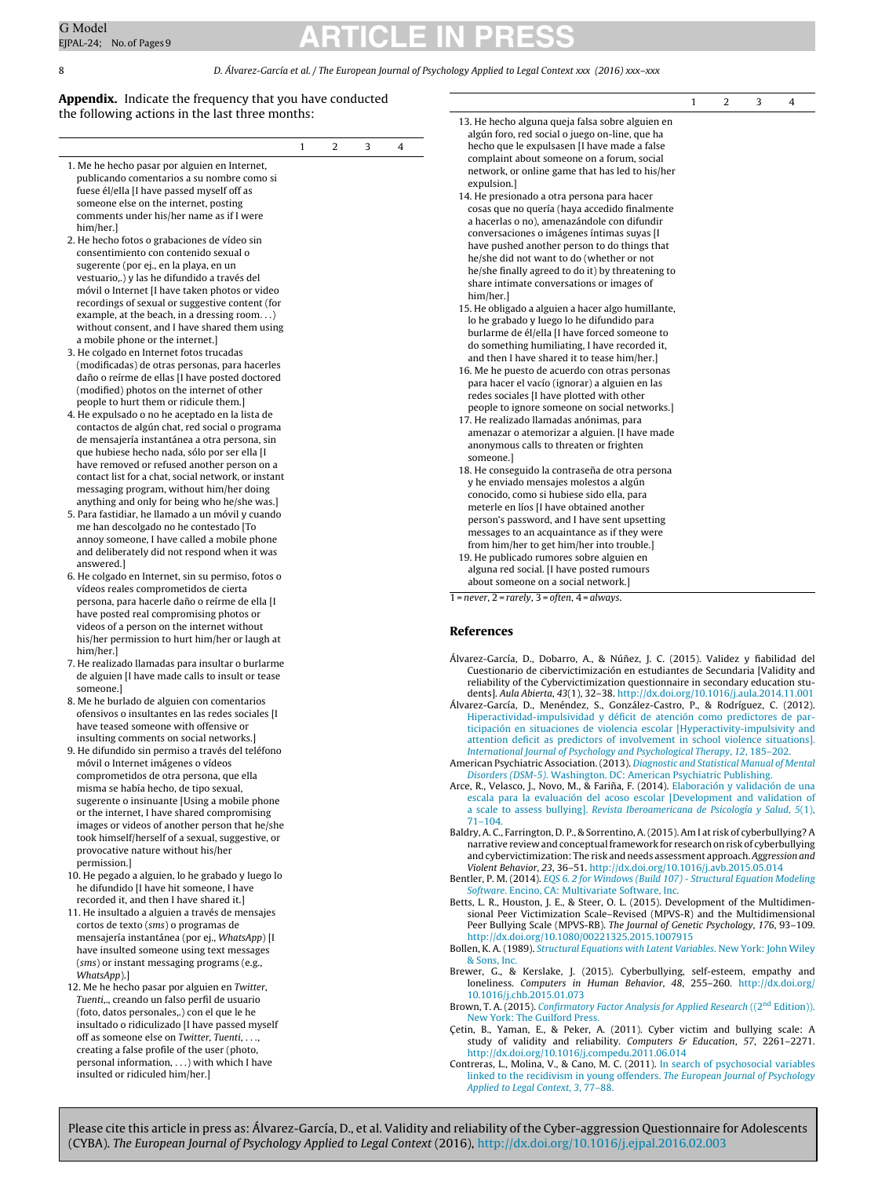#### <span id="page-7-0"></span>8 D. Álvarez-García et al. / The European Journal of Psychology Applied to Legal Context xxx (2016) xxx–xxx

1 2 3 4

#### **Appendix.** Indicate the frequency that you have conducted the following actions in the last three months:

| 1. Me he hecho pasar por alguien en Internet, |
|-----------------------------------------------|
| publicando comentarios a su nombre como si    |
| fuese él/ella [I have passed myself off as    |
| someone else on the internet, posting         |
| comments under his/her name as if I were      |
|                                               |
|                                               |

- 2. He hecho fotos o grabaciones de vídeo sin consentimiento con contenido sexual o sugerente (por ej., en la playa, en un vestuario,.) y las he difundido a través del móvil o Internet [I have taken photos or video recordings of sexual or suggestive content (for example, at the beach, in a dressing room. . .) without consent, and I have shared them using a mobile phone or the internet.]
- 3. He colgado en Internet fotos trucadas (modificadas) de otras personas, para hacerles daño o reírme de ellas [I have posted doctored (modified) photos on the internet of other people to hurt them or ridicule them.]
- 4. He expulsado o no he aceptado en la lista de contactos de algún chat, red social o programa de mensajería instantánea a otra persona, sin que hubiese hecho nada, sólo por ser ella [I have removed or refused another person on a contact list for a chat, social network, or instant messaging program, without him/her doing anything and only for being who he/she was.]
- 5. Para fastidiar, he llamado a un móvil y cuando me han descolgado no he contestado [To annoy someone, I have called a mobile phone and deliberately did not respond when it was answered.]
- 6. He colgado en Internet, sin su permiso, fotos o vídeos reales comprometidos de cierta persona, para hacerle daño o reírme de ella [I have posted real compromising photos or videos of a person on the internet without his/her permission to hurt him/her or laugh at him/her.]
- 7. He realizado llamadas para insultar o burlarme de alguien [I have made calls to insult or tease someone.]
- 8. Me he burlado de alguien con comentarios ofensivos o insultantes en las redes sociales [I have teased someone with offensive or insulting comments on social networks.]
- 9. He difundido sin permiso a través del teléfono móvil o Internet imágenes o vídeos comprometidos de otra persona, que ella misma se había hecho, de tipo sexual, sugerente o insinuante [Using a mobile phone or the internet, I have shared compromising images or videos of another person that he/she took himself/herself of a sexual, suggestive, or provocative nature without his/her permission.]
- 10. He pegado a alguien, lo he grabado y luego lo he difundido [I have hit someone, I have recorded it, and then I have shared it.]
- 11. He insultado a alguien a través de mensajes cortos de texto (sms) o programas de mensajería instantánea (por ej., WhatsApp) [I have insulted someone using text messages (sms) or instant messaging programs (e.g., WhatsApp).]
- 12. Me he hecho pasar por alguien en Twitter, Tuenti,., creando un falso perfil de usuario (foto, datos personales,.) con el que le he insultado o ridiculizado [I have passed myself off as someone else on Twitter, Tuenti, . . ., creating a false profile of the user (photo, personal information, . . .) with which I have insulted or ridiculed him/her.]

|                                                                                                                                                                                                                                                                                                                                           | 1 | 2 | 3 | 4 |
|-------------------------------------------------------------------------------------------------------------------------------------------------------------------------------------------------------------------------------------------------------------------------------------------------------------------------------------------|---|---|---|---|
| 13. He hecho alguna queja falsa sobre alguien en<br>algún foro, red social o juego on-line, que ha<br>hecho que le expulsasen [I have made a false<br>complaint about someone on a forum, social<br>network, or online game that has led to his/her<br>expulsion.]<br>14. He presionado a otra persona para hacer                         |   |   |   |   |
| cosas que no quería (haya accedido finalmente<br>a hacerlas o no), amenazándole con difundir<br>conversaciones o imágenes íntimas suyas [I<br>have pushed another person to do things that<br>he/she did not want to do (whether or not<br>he/she finally agreed to do it) by threatening to<br>share intimate conversations or images of |   |   |   |   |
| him/her.]<br>15. He obligado a alguien a hacer algo humillante,<br>lo he grabado y luego lo he difundido para<br>burlarme de él/ella [I have forced someone to<br>do something humiliating, I have recorded it,<br>and then I have shared it to tease him/her.]                                                                           |   |   |   |   |
| 16. Me he puesto de acuerdo con otras personas<br>para hacer el vacío (ignorar) a alguien en las<br>redes sociales [I have plotted with other<br>people to ignore someone on social networks.]                                                                                                                                            |   |   |   |   |
| 17. He realizado llamadas anónimas, para<br>amenazar o atemorizar a alguien. [I have made<br>anonymous calls to threaten or frighten<br>someone.]                                                                                                                                                                                         |   |   |   |   |
| 18. He conseguido la contraseña de otra persona<br>y he enviado mensajes molestos a algún<br>conocido, como si hubiese sido ella, para<br>meterle en líos [I have obtained another                                                                                                                                                        |   |   |   |   |
| person's password, and I have sent upsetting<br>messages to an acquaintance as if they were<br>from him/her to get him/her into trouble.]<br>19. He publicado rumores sobre alguien en<br>alguna red social. [I have posted rumours                                                                                                       |   |   |   |   |
| about someone on a social network.]<br>$=$ never. 2 = rarely. 3 = often. 4 = always.                                                                                                                                                                                                                                                      |   |   |   |   |

 $1 = never$ ,  $2 = rarely$ ,  $3 = often$ ,  $4 = always$ .

#### **References**

- Álvarez-García, D., Dobarro, A., & Núnez, ˜ J. C. (2015). Validez y fiabilidad del Cuestionario de cibervictimización en estudiantes de Secundaria [Validity and reliability of the Cybervictimization questionnaire in secondary education students]. Aula Abierta, 43(1), 32–38. [http://dx.doi.org/10.1016/j.aula.2014.11.001](dx.doi.org/10.1016/j.aula.2014.11.001)
- Álvarez-García, D., Menéndez, S., González-Castro, P., & Rodríguez, C. (2012). [Hiperactividad-impulsividad](http://refhub.elsevier.com/S1889-1861(16)30003-8/sbref0010) [y](http://refhub.elsevier.com/S1889-1861(16)30003-8/sbref0010) [déficit](http://refhub.elsevier.com/S1889-1861(16)30003-8/sbref0010) [de](http://refhub.elsevier.com/S1889-1861(16)30003-8/sbref0010) [atención](http://refhub.elsevier.com/S1889-1861(16)30003-8/sbref0010) [como](http://refhub.elsevier.com/S1889-1861(16)30003-8/sbref0010) [predictores](http://refhub.elsevier.com/S1889-1861(16)30003-8/sbref0010) [de](http://refhub.elsevier.com/S1889-1861(16)30003-8/sbref0010) [par](http://refhub.elsevier.com/S1889-1861(16)30003-8/sbref0010)[ticipación](http://refhub.elsevier.com/S1889-1861(16)30003-8/sbref0010) [en](http://refhub.elsevier.com/S1889-1861(16)30003-8/sbref0010) [situaciones](http://refhub.elsevier.com/S1889-1861(16)30003-8/sbref0010) [de](http://refhub.elsevier.com/S1889-1861(16)30003-8/sbref0010) [violencia](http://refhub.elsevier.com/S1889-1861(16)30003-8/sbref0010) [escolar](http://refhub.elsevier.com/S1889-1861(16)30003-8/sbref0010) [\[Hyperactivity-impulsivity](http://refhub.elsevier.com/S1889-1861(16)30003-8/sbref0010) [and](http://refhub.elsevier.com/S1889-1861(16)30003-8/sbref0010) [attention](http://refhub.elsevier.com/S1889-1861(16)30003-8/sbref0010) [deficit](http://refhub.elsevier.com/S1889-1861(16)30003-8/sbref0010) [as](http://refhub.elsevier.com/S1889-1861(16)30003-8/sbref0010) [predictors](http://refhub.elsevier.com/S1889-1861(16)30003-8/sbref0010) [of](http://refhub.elsevier.com/S1889-1861(16)30003-8/sbref0010) [involvement](http://refhub.elsevier.com/S1889-1861(16)30003-8/sbref0010) [in](http://refhub.elsevier.com/S1889-1861(16)30003-8/sbref0010) [school](http://refhub.elsevier.com/S1889-1861(16)30003-8/sbref0010) [violence](http://refhub.elsevier.com/S1889-1861(16)30003-8/sbref0010) [situations\].](http://refhub.elsevier.com/S1889-1861(16)30003-8/sbref0010) [International](http://refhub.elsevier.com/S1889-1861(16)30003-8/sbref0010) [Journal](http://refhub.elsevier.com/S1889-1861(16)30003-8/sbref0010) [of](http://refhub.elsevier.com/S1889-1861(16)30003-8/sbref0010) [Psychology](http://refhub.elsevier.com/S1889-1861(16)30003-8/sbref0010) [and](http://refhub.elsevier.com/S1889-1861(16)30003-8/sbref0010) [Psychological](http://refhub.elsevier.com/S1889-1861(16)30003-8/sbref0010) [Therapy](http://refhub.elsevier.com/S1889-1861(16)30003-8/sbref0010)[,](http://refhub.elsevier.com/S1889-1861(16)30003-8/sbref0010) [12](http://refhub.elsevier.com/S1889-1861(16)30003-8/sbref0010)[,](http://refhub.elsevier.com/S1889-1861(16)30003-8/sbref0010) [185](http://refhub.elsevier.com/S1889-1861(16)30003-8/sbref0010)–[202.](http://refhub.elsevier.com/S1889-1861(16)30003-8/sbref0010)
- American Psychiatric Association. (2013). [Diagnostic](http://refhub.elsevier.com/S1889-1861(16)30003-8/sbref0015) [and](http://refhub.elsevier.com/S1889-1861(16)30003-8/sbref0015) [Statistical](http://refhub.elsevier.com/S1889-1861(16)30003-8/sbref0015) [Manual](http://refhub.elsevier.com/S1889-1861(16)30003-8/sbref0015) [of](http://refhub.elsevier.com/S1889-1861(16)30003-8/sbref0015) [Mental](http://refhub.elsevier.com/S1889-1861(16)30003-8/sbref0015) [Disorders](http://refhub.elsevier.com/S1889-1861(16)30003-8/sbref0015) [\(DSM-5\)](http://refhub.elsevier.com/S1889-1861(16)30003-8/sbref0015)[.](http://refhub.elsevier.com/S1889-1861(16)30003-8/sbref0015) [Washington.](http://refhub.elsevier.com/S1889-1861(16)30003-8/sbref0015) [DC:](http://refhub.elsevier.com/S1889-1861(16)30003-8/sbref0015) [American](http://refhub.elsevier.com/S1889-1861(16)30003-8/sbref0015) [Psychiatric](http://refhub.elsevier.com/S1889-1861(16)30003-8/sbref0015) [Publishing.](http://refhub.elsevier.com/S1889-1861(16)30003-8/sbref0015)
- Arce, R., Velasco, J., Novo, M., & Fariña, F. (2014). [Elaboración](http://refhub.elsevier.com/S1889-1861(16)30003-8/sbref0020) [y](http://refhub.elsevier.com/S1889-1861(16)30003-8/sbref0020) [validación](http://refhub.elsevier.com/S1889-1861(16)30003-8/sbref0020) [de](http://refhub.elsevier.com/S1889-1861(16)30003-8/sbref0020) [una](http://refhub.elsevier.com/S1889-1861(16)30003-8/sbref0020) [escala](http://refhub.elsevier.com/S1889-1861(16)30003-8/sbref0020) [para](http://refhub.elsevier.com/S1889-1861(16)30003-8/sbref0020) [la](http://refhub.elsevier.com/S1889-1861(16)30003-8/sbref0020) [evaluación](http://refhub.elsevier.com/S1889-1861(16)30003-8/sbref0020) [del](http://refhub.elsevier.com/S1889-1861(16)30003-8/sbref0020) [acoso](http://refhub.elsevier.com/S1889-1861(16)30003-8/sbref0020) [escolar](http://refhub.elsevier.com/S1889-1861(16)30003-8/sbref0020) [\[Development](http://refhub.elsevier.com/S1889-1861(16)30003-8/sbref0020) [and](http://refhub.elsevier.com/S1889-1861(16)30003-8/sbref0020) [validation](http://refhub.elsevier.com/S1889-1861(16)30003-8/sbref0020) [of](http://refhub.elsevier.com/S1889-1861(16)30003-8/sbref0020) [a](http://refhub.elsevier.com/S1889-1861(16)30003-8/sbref0020) [scale](http://refhub.elsevier.com/S1889-1861(16)30003-8/sbref0020) [to](http://refhub.elsevier.com/S1889-1861(16)30003-8/sbref0020) [assess](http://refhub.elsevier.com/S1889-1861(16)30003-8/sbref0020) [bullying\].](http://refhub.elsevier.com/S1889-1861(16)30003-8/sbref0020) [Revista](http://refhub.elsevier.com/S1889-1861(16)30003-8/sbref0020) [Iberoamericana](http://refhub.elsevier.com/S1889-1861(16)30003-8/sbref0020) [de](http://refhub.elsevier.com/S1889-1861(16)30003-8/sbref0020) [Psicología](http://refhub.elsevier.com/S1889-1861(16)30003-8/sbref0020) [y](http://refhub.elsevier.com/S1889-1861(16)30003-8/sbref0020) [Salud](http://refhub.elsevier.com/S1889-1861(16)30003-8/sbref0020)[,](http://refhub.elsevier.com/S1889-1861(16)30003-8/sbref0020) [5](http://refhub.elsevier.com/S1889-1861(16)30003-8/sbref0020)[\(1\),](http://refhub.elsevier.com/S1889-1861(16)30003-8/sbref0020) [71–104.](http://refhub.elsevier.com/S1889-1861(16)30003-8/sbref0020)
- Baldry, A. C., Farrington, D. P., & Sorrentino, A.(2015). Am I at risk of cyberbullying? A narrative review and conceptualframework for research on risk of cyberbullying and cybervictimization: The risk and needs assessment approach. Aggression and Violent Behavior, 23, 36–51. [http://dx.doi.org/10.1016/j.avb.2015.05.014](dx.doi.org/10.1016/j.avb.2015.05.014)
- Bentler, P. M. (2014). [EQS](http://refhub.elsevier.com/S1889-1861(16)30003-8/sbref0030) [6.](http://refhub.elsevier.com/S1889-1861(16)30003-8/sbref0030) [2](http://refhub.elsevier.com/S1889-1861(16)30003-8/sbref0030) [for](http://refhub.elsevier.com/S1889-1861(16)30003-8/sbref0030) [Windows](http://refhub.elsevier.com/S1889-1861(16)30003-8/sbref0030) [\(Build](http://refhub.elsevier.com/S1889-1861(16)30003-8/sbref0030) [107\)](http://refhub.elsevier.com/S1889-1861(16)30003-8/sbref0030) [-](http://refhub.elsevier.com/S1889-1861(16)30003-8/sbref0030) [Structural](http://refhub.elsevier.com/S1889-1861(16)30003-8/sbref0030) [Equation](http://refhub.elsevier.com/S1889-1861(16)30003-8/sbref0030) [Modeling](http://refhub.elsevier.com/S1889-1861(16)30003-8/sbref0030) [Software](http://refhub.elsevier.com/S1889-1861(16)30003-8/sbref0030). [Encino,](http://refhub.elsevier.com/S1889-1861(16)30003-8/sbref0030) [CA:](http://refhub.elsevier.com/S1889-1861(16)30003-8/sbref0030) [Multivariate](http://refhub.elsevier.com/S1889-1861(16)30003-8/sbref0030) [Software,](http://refhub.elsevier.com/S1889-1861(16)30003-8/sbref0030) [Inc.](http://refhub.elsevier.com/S1889-1861(16)30003-8/sbref0030)
- Betts, L. R., Houston, J. E., & Steer, O. L. (2015). Development of the Multidimensional Peer Victimization Scale–Revised (MPVS-R) and the Multidimensional Peer Bullying Scale (MPVS-RB). The Journal of Genetic Psychology, 176, 93–109. [http://dx.doi.org/10.1080/00221325.2015.1007915](dx.doi.org/10.1080/00221325.2015.1007915)
- Bollen, K. A. (1989). [Structural](http://refhub.elsevier.com/S1889-1861(16)30003-8/sbref0040) [Equations](http://refhub.elsevier.com/S1889-1861(16)30003-8/sbref0040) [with](http://refhub.elsevier.com/S1889-1861(16)30003-8/sbref0040) [Latent](http://refhub.elsevier.com/S1889-1861(16)30003-8/sbref0040) [Variables](http://refhub.elsevier.com/S1889-1861(16)30003-8/sbref0040)[.](http://refhub.elsevier.com/S1889-1861(16)30003-8/sbref0040) [New](http://refhub.elsevier.com/S1889-1861(16)30003-8/sbref0040) [York:](http://refhub.elsevier.com/S1889-1861(16)30003-8/sbref0040) [John](http://refhub.elsevier.com/S1889-1861(16)30003-8/sbref0040) [Wiley](http://refhub.elsevier.com/S1889-1861(16)30003-8/sbref0040) [&](http://refhub.elsevier.com/S1889-1861(16)30003-8/sbref0040) [Sons,](http://refhub.elsevier.com/S1889-1861(16)30003-8/sbref0040) [Inc.](http://refhub.elsevier.com/S1889-1861(16)30003-8/sbref0040)
- Brewer, G., & Kerslake, J. (2015). Cyberbullying, self-esteem, empathy and loneliness. Computers in Human Behavior, 48, 255–260. [http://dx.doi.org/](dx.doi.org/10.1016/j.chb.2015.01.073) [10.1016/j.chb.2015.01.073](dx.doi.org/10.1016/j.chb.2015.01.073)
- Brown, T. A. (2015). [Confirmatory](http://refhub.elsevier.com/S1889-1861(16)30003-8/sbref0050) [Factor](http://refhub.elsevier.com/S1889-1861(16)30003-8/sbref0050) [Analysis](http://refhub.elsevier.com/S1889-1861(16)30003-8/sbref0050) [for](http://refhub.elsevier.com/S1889-1861(16)30003-8/sbref0050) [Applied](http://refhub.elsevier.com/S1889-1861(16)30003-8/sbref0050) [Research](http://refhub.elsevier.com/S1889-1861(16)30003-8/sbref0050) ((2<sup>nd</sup> [Edition\)\).](http://refhub.elsevier.com/S1889-1861(16)30003-8/sbref0050) [New](http://refhub.elsevier.com/S1889-1861(16)30003-8/sbref0050) [York:](http://refhub.elsevier.com/S1889-1861(16)30003-8/sbref0050) [The](http://refhub.elsevier.com/S1889-1861(16)30003-8/sbref0050) [Guilford](http://refhub.elsevier.com/S1889-1861(16)30003-8/sbref0050) [Press.](http://refhub.elsevier.com/S1889-1861(16)30003-8/sbref0050)
- Çetin, B., Yaman, E., & Peker, A. (2011). Cyber victim and bullying scale: A study of validity and reliability. Computers & Education, 57, 2261-2271. [http://dx.doi.org/10.1016/j.compedu.2011.06.014](dx.doi.org/10.1016/j.compedu.2011.06.014)
- Contreras, L., Molina, V., & Cano, M. C. (2011). [In](http://refhub.elsevier.com/S1889-1861(16)30003-8/sbref0055) [search](http://refhub.elsevier.com/S1889-1861(16)30003-8/sbref0055) [of](http://refhub.elsevier.com/S1889-1861(16)30003-8/sbref0055) [psychosocial](http://refhub.elsevier.com/S1889-1861(16)30003-8/sbref0055) [variables](http://refhub.elsevier.com/S1889-1861(16)30003-8/sbref0055) [linked](http://refhub.elsevier.com/S1889-1861(16)30003-8/sbref0055) [to](http://refhub.elsevier.com/S1889-1861(16)30003-8/sbref0055) [the](http://refhub.elsevier.com/S1889-1861(16)30003-8/sbref0055) [recidivism](http://refhub.elsevier.com/S1889-1861(16)30003-8/sbref0055) [in](http://refhub.elsevier.com/S1889-1861(16)30003-8/sbref0055) [young](http://refhub.elsevier.com/S1889-1861(16)30003-8/sbref0055) [offenders.](http://refhub.elsevier.com/S1889-1861(16)30003-8/sbref0055) [The](http://refhub.elsevier.com/S1889-1861(16)30003-8/sbref0055) [European](http://refhub.elsevier.com/S1889-1861(16)30003-8/sbref0055) [Journal](http://refhub.elsevier.com/S1889-1861(16)30003-8/sbref0055) [of](http://refhub.elsevier.com/S1889-1861(16)30003-8/sbref0055) [Psychology](http://refhub.elsevier.com/S1889-1861(16)30003-8/sbref0055) [Applied](http://refhub.elsevier.com/S1889-1861(16)30003-8/sbref0055) [to](http://refhub.elsevier.com/S1889-1861(16)30003-8/sbref0055) [Legal](http://refhub.elsevier.com/S1889-1861(16)30003-8/sbref0055) [Context](http://refhub.elsevier.com/S1889-1861(16)30003-8/sbref0055)[,](http://refhub.elsevier.com/S1889-1861(16)30003-8/sbref0055) [3](http://refhub.elsevier.com/S1889-1861(16)30003-8/sbref0055)[,](http://refhub.elsevier.com/S1889-1861(16)30003-8/sbref0055) [77](http://refhub.elsevier.com/S1889-1861(16)30003-8/sbref0055)–[88.](http://refhub.elsevier.com/S1889-1861(16)30003-8/sbref0055)